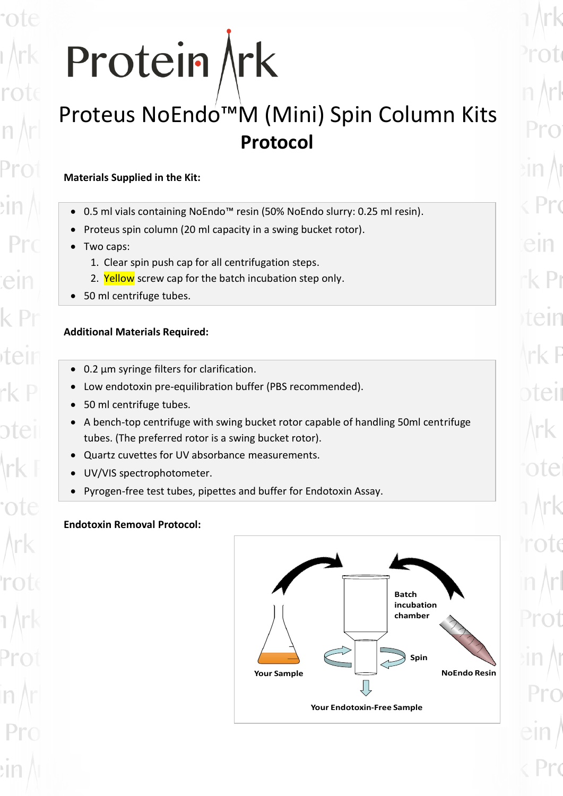# Protein Ark

# Proteus NoEndo™M (Mini) Spin Column Kits **Protocol**

# **Materials Supplied in the Kit:**

- 0.5 ml vials containing NoEndo™ resin (50% NoEndo slurry: 0.25 ml resin).
- Proteus spin column (20 ml capacity in a swing bucket rotor).
- Two caps:

ifell

ntel

- 1. Clear spin push cap for all centrifugation steps.
- 2. Yellow screw cap for the batch incubation step only.
- 50 ml centrifuge tubes.

# **Additional Materials Required:**

- 0.2 µm syringe filters for clarification.
- Low endotoxin pre-equilibration buffer (PBS recommended).
- 50 ml centrifuge tubes.
- A bench-top centrifuge with swing bucket rotor capable of handling 50ml centrifuge tubes. (The preferred rotor is a swing bucket rotor).
- Quartz cuvettes for UV absorbance measurements.
- UV/VIS spectrophotometer.
- Pyrogen-free test tubes, pipettes and buffer for Endotoxin Assay.

# **Endotoxin Removal Protocol:**

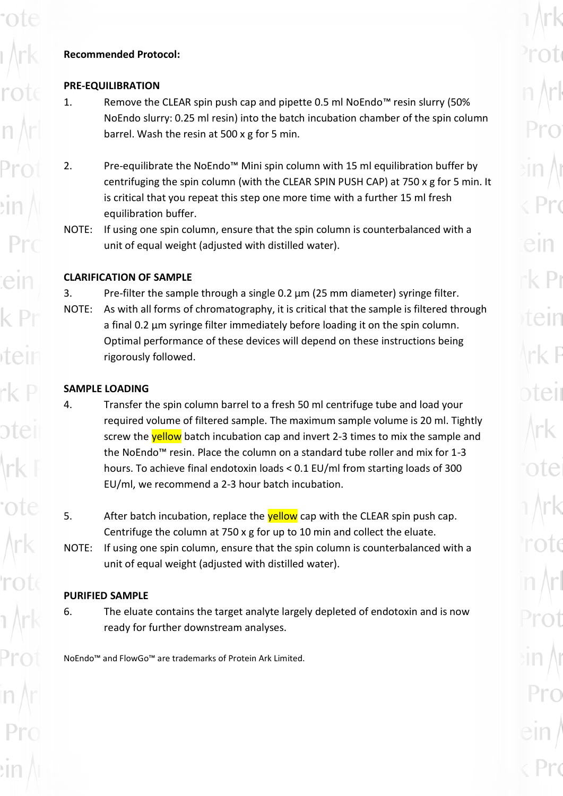#### **Recommended Protocol:**

#### **PRE-EQUILIBRATION**

rote

- 1. Remove the CLEAR spin push cap and pipette 0.5 ml NoEndo™ resin slurry (50% NoEndo slurry: 0.25 ml resin) into the batch incubation chamber of the spin column barrel. Wash the resin at 500 x g for 5 min.
- 2. Pre-equilibrate the NoEndo™ Mini spin column with 15 ml equilibration buffer by centrifuging the spin column (with the CLEAR SPIN PUSH CAP) at 750 x g for 5 min. It is critical that you repeat this step one more time with a further 15 ml fresh equilibration buffer.
- NOTE: If using one spin column, ensure that the spin column is counterbalanced with a unit of equal weight (adjusted with distilled water).

#### **CLARIFICATION OF SAMPLE**

- 3. Pre-filter the sample through a single  $0.2 \mu m$  (25 mm diameter) syringe filter.
- NOTE: As with all forms of chromatography, it is critical that the sample is filtered through a final 0.2 μm syringe filter immediately before loading it on the spin column. Optimal performance of these devices will depend on these instructions being rigorously followed.

### **SAMPLE LOADING**

- 4. Transfer the spin column barrel to a fresh 50 ml centrifuge tube and load your required volume of filtered sample. The maximum sample volume is 20 ml. Tightly screw the **yellow** batch incubation cap and invert 2-3 times to mix the sample and the NoEndo™ resin. Place the column on a standard tube roller and mix for 1-3 hours. To achieve final endotoxin loads < 0.1 EU/ml from starting loads of 300 EU/ml, we recommend a 2-3 hour batch incubation.
- 5. After batch incubation, replace the **yellow** cap with the CLEAR spin push cap. Centrifuge the column at 750 x g for up to 10 min and collect the eluate.
- NOTE: If using one spin column, ensure that the spin column is counterbalanced with a unit of equal weight (adjusted with distilled water).

## **PURIFIED SAMPLE**

6. The eluate contains the target analyte largely depleted of endotoxin and is now ready for further downstream analyses.

NoEndo™ and FlowGo™ are trademarks of Protein Ark Limited.